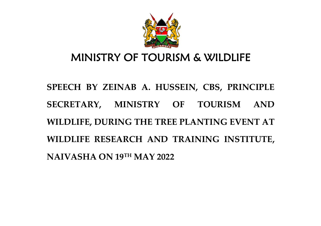

# MINISTRY OF TOURISM & WILDLIFE

**SPEECH BY ZEINAB A. HUSSEIN, CBS, PRINCIPLE SECRETARY, MINISTRY OF TOURISM AND WILDLIFE, DURING THE TREE PLANTING EVENT AT WILDLIFE RESEARCH AND TRAINING INSTITUTE, NAIVASHA ON 19TH MAY 2022**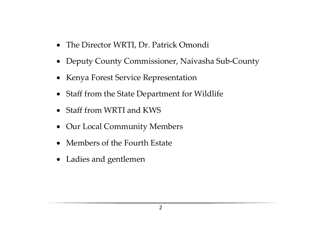- The Director WRTI, Dr. Patrick Omondi
- Deputy County Commissioner, Naivasha Sub-County
- Kenya Forest Service Representation
- Staff from the State Department for Wildlife
- Staff from WRTI and KWS
- Our Local Community Members
- Members of the Fourth Estate
- Ladies and gentlemen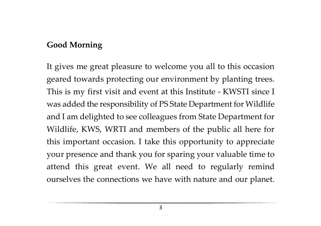## **Good Morning**

It gives me great pleasure to welcome you all to this occasion geared towards protecting our environment by planting trees. This is my first visit and event at this Institute - KWSTI since I was added the responsibility of PS State Department for Wildlife and I am delighted to see colleagues from State Department for Wildlife, KWS, WRTI and members of the public all here for this important occasion. I take this opportunity to appreciate your presence and thank you for sparing your valuable time to attend this great event. We all need to regularly remind ourselves the connections we have with nature and our planet.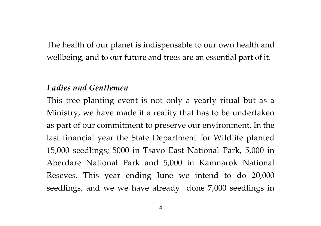The health of our planet is indispensable to our own health and wellbeing, and to our future and trees are an essential part of it.

#### *Ladies and Gentlemen*

This tree planting event is not only a yearly ritual but as a Ministry, we have made it a reality that has to be undertaken as part of our commitment to preserve our environment. In the last financial year the State Department for Wildlife planted 15,000 seedlings; 5000 in Tsavo East National Park, 5,000 in Aberdare National Park and 5,000 in Kamnarok National Reseves. This year ending June we intend to do 20,000 seedlings, and we we have already done 7,000 seedlings in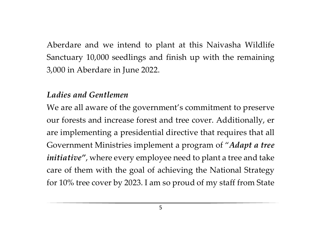Aberdare and we intend to plant at this Naivasha Wildlife Sanctuary 10,000 seedlings and finish up with the remaining 3,000 in Aberdare in June 2022.

#### *Ladies and Gentlemen*

We are all aware of the government's commitment to preserve our forests and increase forest and tree cover. Additionally, er are implementing a presidential directive that requires that all Government Ministries implement a program of "*Adapt a tree initiative"*, where every employee need to plant a tree and take care of them with the goal of achieving the National Strategy for 10% tree cover by 2023. I am so proud of my staff from State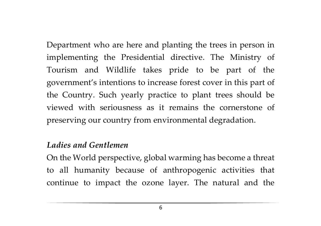Department who are here and planting the trees in person in implementing the Presidential directive. The Ministry of Tourism and Wildlife takes pride to be part of the government's intentions to increase forest cover in this part of the Country. Such yearly practice to plant trees should be viewed with seriousness as it remains the cornerstone of preserving our country from environmental degradation.

#### *Ladies and Gentlemen*

On the World perspective, global warming has become a threat to all humanity because of anthropogenic activities that continue to impact the ozone layer. The natural and the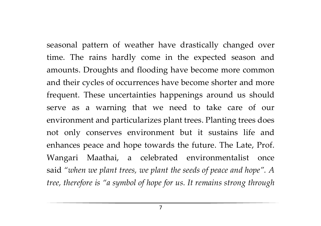seasonal pattern of weather have drastically changed over time. The rains hardly come in the expected season and amounts. Droughts and flooding have become more common and their cycles of occurrences have become shorter and more frequent. These uncertainties happenings around us should serve as a warning that we need to take care of our environment and particularizes plant trees. Planting trees does not only conserves environment but it sustains life and enhances peace and hope towards the future. The Late, Prof. Wangari Maathai, a celebrated environmentalist once said *"when we plant trees, we plant the seeds of peace and hope". A tree, therefore is "a symbol of hope for us. It remains strong through* 

7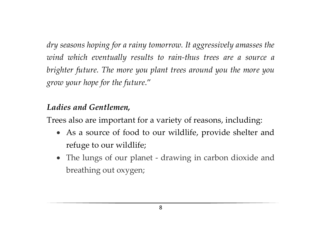*dry seasons hoping for a rainy tomorrow. It aggressively amasses the wind which eventually results to rain-thus trees are a source a brighter future. The more you plant trees around you the more you grow your hope for the future*."

### *Ladies and Gentlemen,*

Trees also are important for a variety of reasons, including:

- As a source of food to our wildlife, provide shelter and refuge to our wildlife;
- The lungs of our planet drawing in carbon dioxide and breathing out oxygen;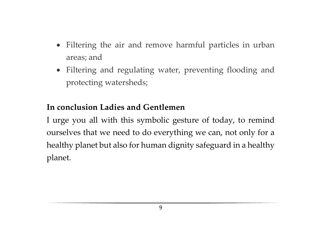- Filtering the air and remove harmful particles in urban areas; and
- Filtering and regulating water, preventing flooding and protecting watersheds;

# **In conclusion Ladies and Gentlemen**

I urge you all with this symbolic gesture of today, to remind ourselves that we need to do everything we can, not only for a healthy planet but also for human dignity safeguard in a healthy planet.